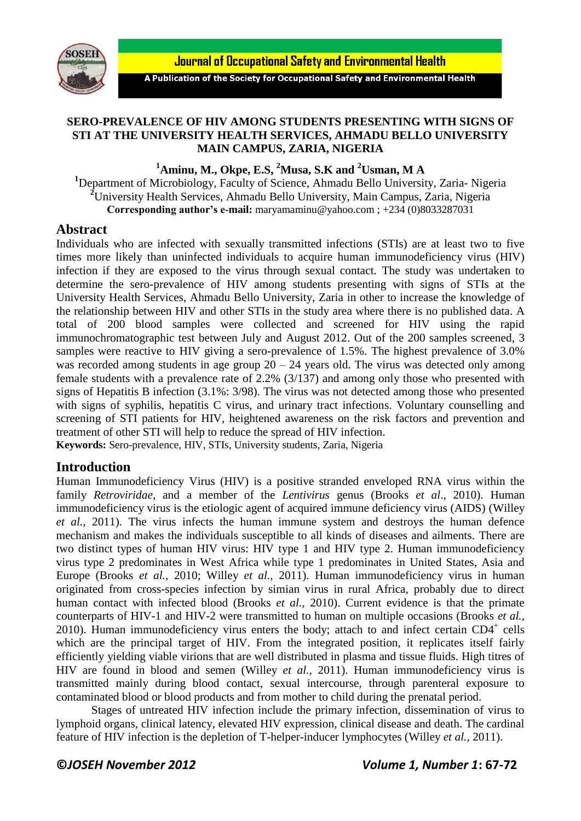



A Publication of the Society for Occupational Safety and Environmental Health

## **SERO-PREVALENCE OF HIV AMONG STUDENTS PRESENTING WITH SIGNS OF STI AT THE UNIVERSITY HEALTH SERVICES, AHMADU BELLO UNIVERSITY MAIN CAMPUS, ZARIA, NIGERIA**

**<sup>1</sup>Aminu, M., Okpe, E.S, <sup>2</sup>Musa, S.K and <sup>2</sup>Usman, M A**

**<sup>1</sup>**Department of Microbiology, Faculty of Science, Ahmadu Bello University, Zaria- Nigeria **<sup>2</sup>**University Health Services, Ahmadu Bello University, Main Campus, Zaria, Nigeria **Corresponding author's e-mail:** [maryamaminu@yahoo.com](mailto:maryamaminu@yahoo.com) ; +234 (0)8033287031

## **Abstract**

Individuals who are infected with sexually transmitted infections (STIs) are at least two to five times more likely than uninfected individuals to acquire human immunodeficiency virus (HIV) infection if they are exposed to the virus through sexual contact. The study was undertaken to determine the sero-prevalence of HIV among students presenting with signs of STIs at the University Health Services, Ahmadu Bello University, Zaria in other to increase the knowledge of the relationship between HIV and other STIs in the study area where there is no published data. A total of 200 blood samples were collected and screened for HIV using the rapid immunochromatographic test between July and August 2012. Out of the 200 samples screened, 3 samples were reactive to HIV giving a sero-prevalence of 1.5%. The highest prevalence of 3.0% was recorded among students in age group  $20 - 24$  years old. The virus was detected only among female students with a prevalence rate of 2.2% (3/137) and among only those who presented with signs of Hepatitis B infection (3.1%: 3/98). The virus was not detected among those who presented with signs of syphilis, hepatitis C virus, and urinary tract infections. Voluntary counselling and screening of STI patients for HIV, heightened awareness on the risk factors and prevention and treatment of other STI will help to reduce the spread of HIV infection.

**Keywords:** Sero-prevalence, HIV, STIs, University students, Zaria, Nigeria

# **Introduction**

Human Immunodeficiency Virus (HIV) is a positive stranded enveloped RNA virus within the family *Retroviridae*, and a member of the *Lentivirus* genus (Brooks *et al*., 2010). Human immunodeficiency virus is the etiologic agent of acquired immune deficiency virus (AIDS) (Willey *et al.,* 2011). The virus infects the human immune system and destroys the human defence mechanism and makes the individuals susceptible to all kinds of diseases and ailments. There are two distinct types of human HIV virus: HIV type 1 and HIV type 2. Human immunodeficiency virus type 2 predominates in West Africa while type 1 predominates in United States, Asia and Europe (Brooks *et al.,* 2010; Willey *et al.,* 2011). Human immunodeficiency virus in human originated from cross-species infection by simian virus in rural Africa, probably due to direct human contact with infected blood (Brooks *et al.,* 2010). Current evidence is that the primate counterparts of HIV-1 and HIV-2 were transmitted to human on multiple occasions (Brooks *et al.,* 2010). Human immunodeficiency virus enters the body; attach to and infect certain CD4<sup>+</sup> cells which are the principal target of HIV. From the integrated position, it replicates itself fairly efficiently yielding viable virions that are well distributed in plasma and tissue fluids. High titres of HIV are found in blood and semen (Willey *et al.,* 2011). Human immunodeficiency virus is transmitted mainly during blood contact, sexual intercourse, through parenteral exposure to contaminated blood or blood products and from mother to child during the prenatal period.

Stages of untreated HIV infection include the primary infection, dissemination of virus to lymphoid organs, clinical latency, elevated HIV expression, clinical disease and death. The cardinal feature of HIV infection is the depletion of T-helper-inducer lymphocytes (Willey *et al.,* 2011).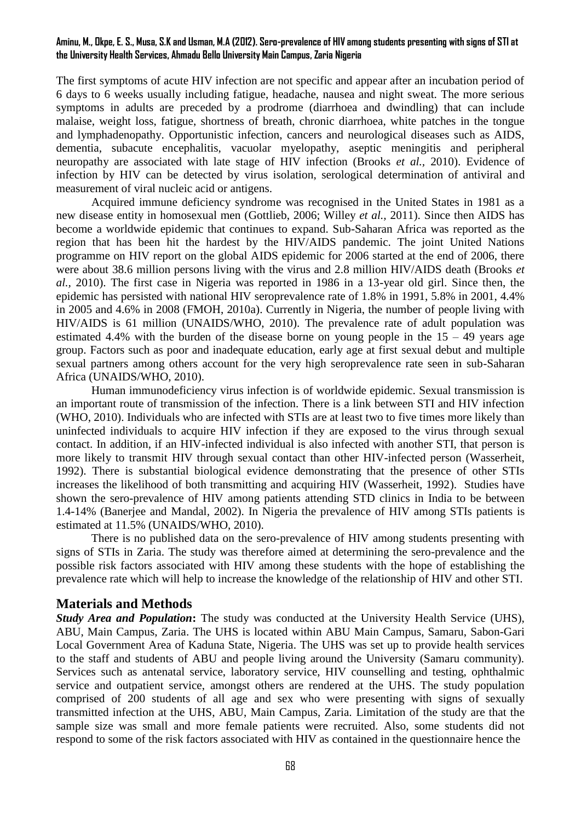#### **Aminu, M., Okpe, E. S., Musa, S.K and Usman, M.A (2012). Sero-prevalence of HIV among students presenting with signs of STI at the University Health Services, Ahmadu Bello University Main Campus, Zaria Nigeria**

The first symptoms of acute HIV infection are not specific and appear after an incubation period of 6 days to 6 weeks usually including fatigue, headache, nausea and night sweat. The more serious symptoms in adults are preceded by a prodrome (diarrhoea and dwindling) that can include malaise, weight loss, fatigue, shortness of breath, chronic diarrhoea, white patches in the tongue and lymphadenopathy. Opportunistic infection, cancers and neurological diseases such as AIDS, dementia, subacute encephalitis, vacuolar myelopathy, aseptic meningitis and peripheral neuropathy are associated with late stage of HIV infection (Brooks *et al.,* 2010). Evidence of infection by HIV can be detected by virus isolation, serological determination of antiviral and measurement of viral nucleic acid or antigens.

Acquired immune deficiency syndrome was recognised in the United States in 1981 as a new disease entity in homosexual men (Gottlieb, 2006; Willey *et al.,* 2011). Since then AIDS has become a worldwide epidemic that continues to expand. Sub-Saharan Africa was reported as the region that has been hit the hardest by the HIV/AIDS pandemic. The joint United Nations programme on HIV report on the global AIDS epidemic for 2006 started at the end of 2006, there were about 38.6 million persons living with the virus and 2.8 million HIV/AIDS death (Brooks *et al.,* 2010). The first case in Nigeria was reported in 1986 in a 13-year old girl. Since then, the epidemic has persisted with national HIV seroprevalence rate of 1.8% in 1991, 5.8% in 2001, 4.4% in 2005 and 4.6% in 2008 (FMOH, 2010a). Currently in Nigeria, the number of people living with HIV/AIDS is 61 million (UNAIDS/WHO, 2010). The prevalence rate of adult population was estimated 4.4% with the burden of the disease borne on young people in the  $15 - 49$  years age group. Factors such as poor and inadequate education, early age at first sexual debut and multiple sexual partners among others account for the very high seroprevalence rate seen in sub-Saharan Africa (UNAIDS/WHO, 2010).

Human immunodeficiency virus infection is of worldwide epidemic. Sexual transmission is an important route of transmission of the infection. There is a link between STI and HIV infection (WHO, 2010). Individuals who are infected with STIs are at least two to five times more likely than uninfected individuals to acquire HIV infection if they are exposed to the virus through sexual contact. In addition, if an HIV-infected individual is also infected with another STI, that person is more likely to transmit HIV through sexual contact than other HIV-infected person (Wasserheit, 1992). There is substantial biological evidence demonstrating that the presence of other STIs increases the likelihood of both transmitting and acquiring HIV (Wasserheit, 1992). Studies have shown the sero-prevalence of HIV among patients attending STD clinics in India to be between 1.4-14% (Banerjee and Mandal*,* 2002). In Nigeria the prevalence of HIV among STIs patients is estimated at 11.5% (UNAIDS/WHO, 2010).

There is no published data on the sero-prevalence of HIV among students presenting with signs of STIs in Zaria. The study was therefore aimed at determining the sero-prevalence and the possible risk factors associated with HIV among these students with the hope of establishing the prevalence rate which will help to increase the knowledge of the relationship of HIV and other STI.

## **Materials and Methods**

*Study Area and Population***:** The study was conducted at the University Health Service (UHS), ABU, Main Campus, Zaria. The UHS is located within ABU Main Campus, Samaru, Sabon-Gari Local Government Area of Kaduna State, Nigeria. The UHS was set up to provide health services to the staff and students of ABU and people living around the University (Samaru community). Services such as antenatal service, laboratory service, HIV counselling and testing, ophthalmic service and outpatient service, amongst others are rendered at the UHS. The study population comprised of 200 students of all age and sex who were presenting with signs of sexually transmitted infection at the UHS, ABU, Main Campus, Zaria. Limitation of the study are that the sample size was small and more female patients were recruited. Also, some students did not respond to some of the risk factors associated with HIV as contained in the questionnaire hence the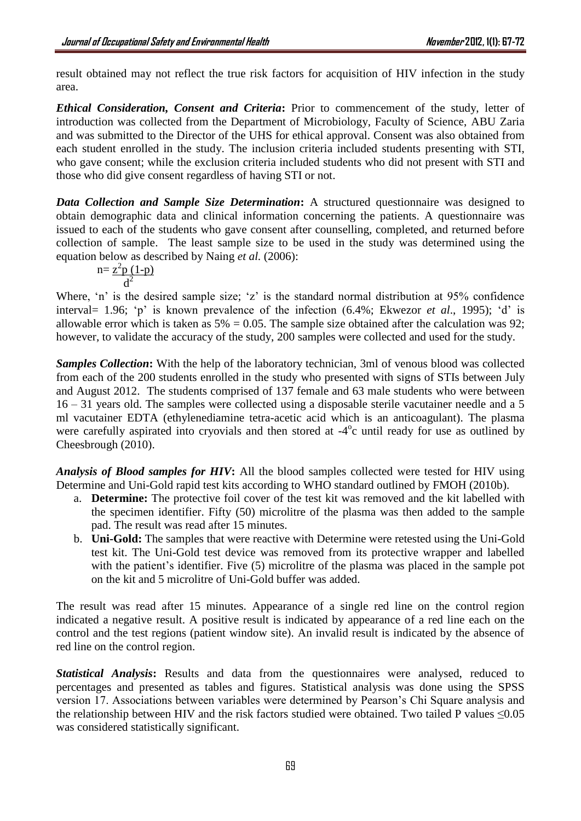result obtained may not reflect the true risk factors for acquisition of HIV infection in the study area.

*Ethical Consideration, Consent and Criteria***:** Prior to commencement of the study, letter of introduction was collected from the Department of Microbiology, Faculty of Science, ABU Zaria and was submitted to the Director of the UHS for ethical approval. Consent was also obtained from each student enrolled in the study. The inclusion criteria included students presenting with STI, who gave consent; while the exclusion criteria included students who did not present with STI and those who did give consent regardless of having STI or not.

**Data Collection and Sample Size Determination:** A structured questionnaire was designed to obtain demographic data and clinical information concerning the patients. A questionnaire was issued to each of the students who gave consent after counselling, completed, and returned before collection of sample. The least sample size to be used in the study was determined using the equation below as described by Naing *et al.* (2006):

$$
n = \frac{z^2 p (1-p)}{d^2}
$$

Where, 'n' is the desired sample size; 'z' is the standard normal distribution at 95% confidence interval= 1.96; 'p' is known prevalence of the infection (6.4%; Ekwezor *et al*., 1995); 'd' is allowable error which is taken as  $5\% = 0.05$ . The sample size obtained after the calculation was 92; however, to validate the accuracy of the study, 200 samples were collected and used for the study.

*Samples Collection***:** With the help of the laboratory technician, 3ml of venous blood was collected from each of the 200 students enrolled in the study who presented with signs of STIs between July and August 2012. The students comprised of 137 female and 63 male students who were between 16 – 31 years old. The samples were collected using a disposable sterile vacutainer needle and a 5 ml vacutainer EDTA (ethylenediamine tetra-acetic acid which is an anticoagulant). The plasma were carefully aspirated into cryovials and then stored at -4<sup>o</sup>c until ready for use as outlined by Cheesbrough (2010).

*Analysis of Blood samples for HIV***:** All the blood samples collected were tested for HIV using Determine and Uni-Gold rapid test kits according to WHO standard outlined by FMOH (2010b).

- a. **Determine:** The protective foil cover of the test kit was removed and the kit labelled with the specimen identifier. Fifty (50) microlitre of the plasma was then added to the sample pad. The result was read after 15 minutes.
- b. **Uni-Gold:** The samples that were reactive with Determine were retested using the Uni-Gold test kit. The Uni-Gold test device was removed from its protective wrapper and labelled with the patient's identifier. Five (5) microlitre of the plasma was placed in the sample pot on the kit and 5 microlitre of Uni-Gold buffer was added.

The result was read after 15 minutes. Appearance of a single red line on the control region indicated a negative result. A positive result is indicated by appearance of a red line each on the control and the test regions (patient window site). An invalid result is indicated by the absence of red line on the control region.

*Statistical Analysis***:** Results and data from the questionnaires were analysed, reduced to percentages and presented as tables and figures. Statistical analysis was done using the SPSS version 17. Associations between variables were determined by Pearson's Chi Square analysis and the relationship between HIV and the risk factors studied were obtained. Two tailed P values ≤0.05 was considered statistically significant.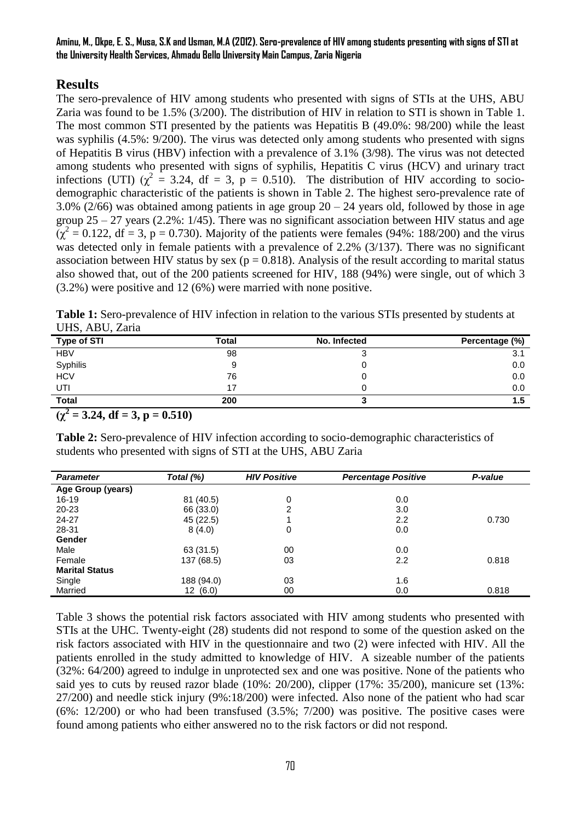**Aminu, M., Okpe, E. S., Musa, S.K and Usman, M.A (2012). Sero-prevalence of HIV among students presenting with signs of STI at the University Health Services, Ahmadu Bello University Main Campus, Zaria Nigeria**

# **Results**

The sero-prevalence of HIV among students who presented with signs of STIs at the UHS, ABU Zaria was found to be 1.5% (3/200). The distribution of HIV in relation to STI is shown in Table 1. The most common STI presented by the patients was Hepatitis B (49.0%: 98/200) while the least was syphilis (4.5%: 9/200). The virus was detected only among students who presented with signs of Hepatitis B virus (HBV) infection with a prevalence of 3.1% (3/98). The virus was not detected among students who presented with signs of syphilis, Hepatitis C virus (HCV) and urinary tract infections (UTI)  $(\chi^2 = 3.24, df = 3, p = 0.510)$ . The distribution of HIV according to sociodemographic characteristic of the patients is shown in Table 2. The highest sero-prevalence rate of 3.0% (2/66) was obtained among patients in age group  $20 - 24$  years old, followed by those in age group  $25 - 27$  years (2.2%:  $1/45$ ). There was no significant association between HIV status and age  $(\chi^2 = 0.122, df = 3, p = 0.730)$ . Majority of the patients were females (94%: 188/200) and the virus was detected only in female patients with a prevalence of 2.2% (3/137). There was no significant association between HIV status by sex ( $p = 0.818$ ). Analysis of the result according to marital status also showed that, out of the 200 patients screened for HIV, 188 (94%) were single, out of which 3 (3.2%) were positive and 12 (6%) were married with none positive.

**Table 1:** Sero-prevalence of HIV infection in relation to the various STIs presented by students at UHS, ABU, Zaria

| <b>Type of STI</b> | Total | No. Infected | Percentage (%) |
|--------------------|-------|--------------|----------------|
| <b>HBV</b>         | 98    |              | 3.1            |
| Syphilis           | 9     |              | 0.0            |
| <b>HCV</b>         | 76    |              | 0.0            |
| UTI                |       |              | 0.0            |
| <b>Total</b>       | 200   |              | 1.5            |

 $(\chi^2 = 3.24, df = 3, p = 0.510)$ 

**Table 2:** Sero-prevalence of HIV infection according to socio-demographic characteristics of students who presented with signs of STI at the UHS, ABU Zaria

| <b>Parameter</b>      | Total (%)  | <b>HIV Positive</b> | <b>Percentage Positive</b> | P-value |
|-----------------------|------------|---------------------|----------------------------|---------|
| Age Group (years)     |            |                     |                            |         |
| $16 - 19$             | 81 (40.5)  | 0                   | 0.0                        |         |
| $20 - 23$             | 66 (33.0)  | 2                   | 3.0                        |         |
| 24-27                 | 45 (22.5)  |                     | 2.2                        | 0.730   |
| 28-31                 | 8(4.0)     | 0                   | 0.0                        |         |
| Gender                |            |                     |                            |         |
| Male                  | 63 (31.5)  | 00                  | 0.0                        |         |
| Female                | 137 (68.5) | 03                  | 2.2                        | 0.818   |
| <b>Marital Status</b> |            |                     |                            |         |
| Single                | 188 (94.0) | 03                  | 1.6                        |         |
| Married               | 12(6.0)    | 00                  | 0.0                        | 0.818   |

Table 3 shows the potential risk factors associated with HIV among students who presented with STIs at the UHC. Twenty-eight (28) students did not respond to some of the question asked on the risk factors associated with HIV in the questionnaire and two (2) were infected with HIV. All the patients enrolled in the study admitted to knowledge of HIV. A sizeable number of the patients (32%: 64/200) agreed to indulge in unprotected sex and one was positive. None of the patients who said yes to cuts by reused razor blade (10%: 20/200), clipper (17%: 35/200), manicure set (13%: 27/200) and needle stick injury (9%:18/200) were infected. Also none of the patient who had scar (6%: 12/200) or who had been transfused (3.5%; 7/200) was positive. The positive cases were found among patients who either answered no to the risk factors or did not respond.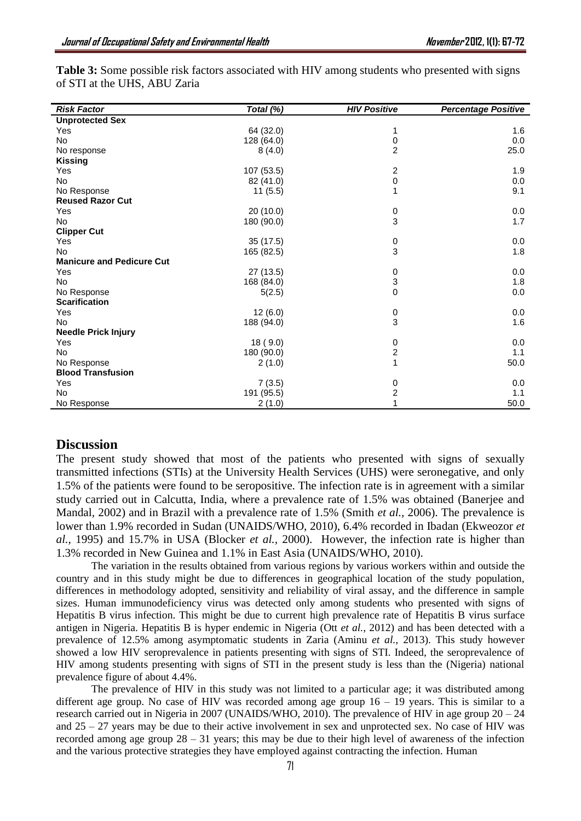| <b>Risk Factor</b>               | Total (%)  | <b>HIV Positive</b>     | <b>Percentage Positive</b> |
|----------------------------------|------------|-------------------------|----------------------------|
| <b>Unprotected Sex</b>           |            |                         |                            |
| Yes                              | 64 (32.0)  | 1                       | 1.6                        |
| No                               | 128 (64.0) | 0                       | 0.0                        |
| No response                      | 8(4.0)     | $\overline{2}$          | 25.0                       |
| <b>Kissing</b>                   |            |                         |                            |
| Yes                              | 107 (53.5) | $\boldsymbol{2}$        | 1.9                        |
| No                               | 82 (41.0)  | $\mathsf 0$             | 0.0                        |
| No Response                      | 11(5.5)    | 1                       | 9.1                        |
| <b>Reused Razor Cut</b>          |            |                         |                            |
| Yes                              | 20(10.0)   | 0                       | 0.0                        |
| <b>No</b>                        | 180 (90.0) | 3                       | 1.7                        |
| <b>Clipper Cut</b>               |            |                         |                            |
| Yes                              | 35 (17.5)  | $\,0\,$                 | 0.0                        |
| <b>No</b>                        | 165 (82.5) | 3                       | 1.8                        |
| <b>Manicure and Pedicure Cut</b> |            |                         |                            |
| Yes                              | 27 (13.5)  | $\,0\,$                 | 0.0                        |
| No                               | 168 (84.0) | 3                       | 1.8                        |
| No Response                      | 5(2.5)     | $\mathbf 0$             | 0.0                        |
| <b>Scarification</b>             |            |                         |                            |
| Yes                              | 12(6.0)    | $\frac{0}{3}$           | 0.0                        |
| No                               | 188 (94.0) |                         | 1.6                        |
| <b>Needle Prick Injury</b>       |            |                         |                            |
| Yes                              | 18 (9.0)   | $\pmb{0}$               | 0.0                        |
| <b>No</b>                        | 180 (90.0) | $\overline{c}$          | 1.1                        |
| No Response                      | 2(1.0)     | $\mathbf{1}$            | 50.0                       |
| <b>Blood Transfusion</b>         |            |                         |                            |
| Yes                              | 7(3.5)     | 0                       | 0.0                        |
| No                               | 191 (95.5) | $\overline{\mathbf{c}}$ | 1.1                        |
| No Response                      | 2(1.0)     | 1                       | 50.0                       |

**Table 3:** Some possible risk factors associated with HIV among students who presented with signs of STI at the UHS, ABU Zaria

## **Discussion**

The present study showed that most of the patients who presented with signs of sexually transmitted infections (STIs) at the University Health Services (UHS) were seronegative, and only 1.5% of the patients were found to be seropositive. The infection rate is in agreement with a similar study carried out in Calcutta, India, where a prevalence rate of 1.5% was obtained (Banerjee and Mandal*,* 2002) and in Brazil with a prevalence rate of 1.5% (Smith *et al.,* 2006). The prevalence is lower than 1.9% recorded in Sudan (UNAIDS/WHO, 2010), 6.4% recorded in Ibadan (Ekweozor *et al.,* 1995) and 15.7% in USA (Blocker *et al.,* 2000). However, the infection rate is higher than 1.3% recorded in New Guinea and 1.1% in East Asia (UNAIDS/WHO, 2010).

The variation in the results obtained from various regions by various workers within and outside the country and in this study might be due to differences in geographical location of the study population, differences in methodology adopted, sensitivity and reliability of viral assay, and the difference in sample sizes. Human immunodeficiency virus was detected only among students who presented with signs of Hepatitis B virus infection. This might be due to current high prevalence rate of Hepatitis B virus surface antigen in Nigeria. Hepatitis B is hyper endemic in Nigeria (Ott *et al.,* 2012) and has been detected with a prevalence of 12.5% among asymptomatic students in Zaria (Aminu *et al.,* 2013). This study however showed a low HIV seroprevalence in patients presenting with signs of STI. Indeed, the seroprevalence of HIV among students presenting with signs of STI in the present study is less than the (Nigeria) national prevalence figure of about 4.4%.

The prevalence of HIV in this study was not limited to a particular age; it was distributed among different age group. No case of HIV was recorded among age group  $16 - 19$  years. This is similar to a research carried out in Nigeria in 2007 (UNAIDS/WHO, 2010). The prevalence of HIV in age group 20 – 24 and  $25 - 27$  years may be due to their active involvement in sex and unprotected sex. No case of HIV was recorded among age group  $28 - 31$  years; this may be due to their high level of awareness of the infection and the various protective strategies they have employed against contracting the infection. Human